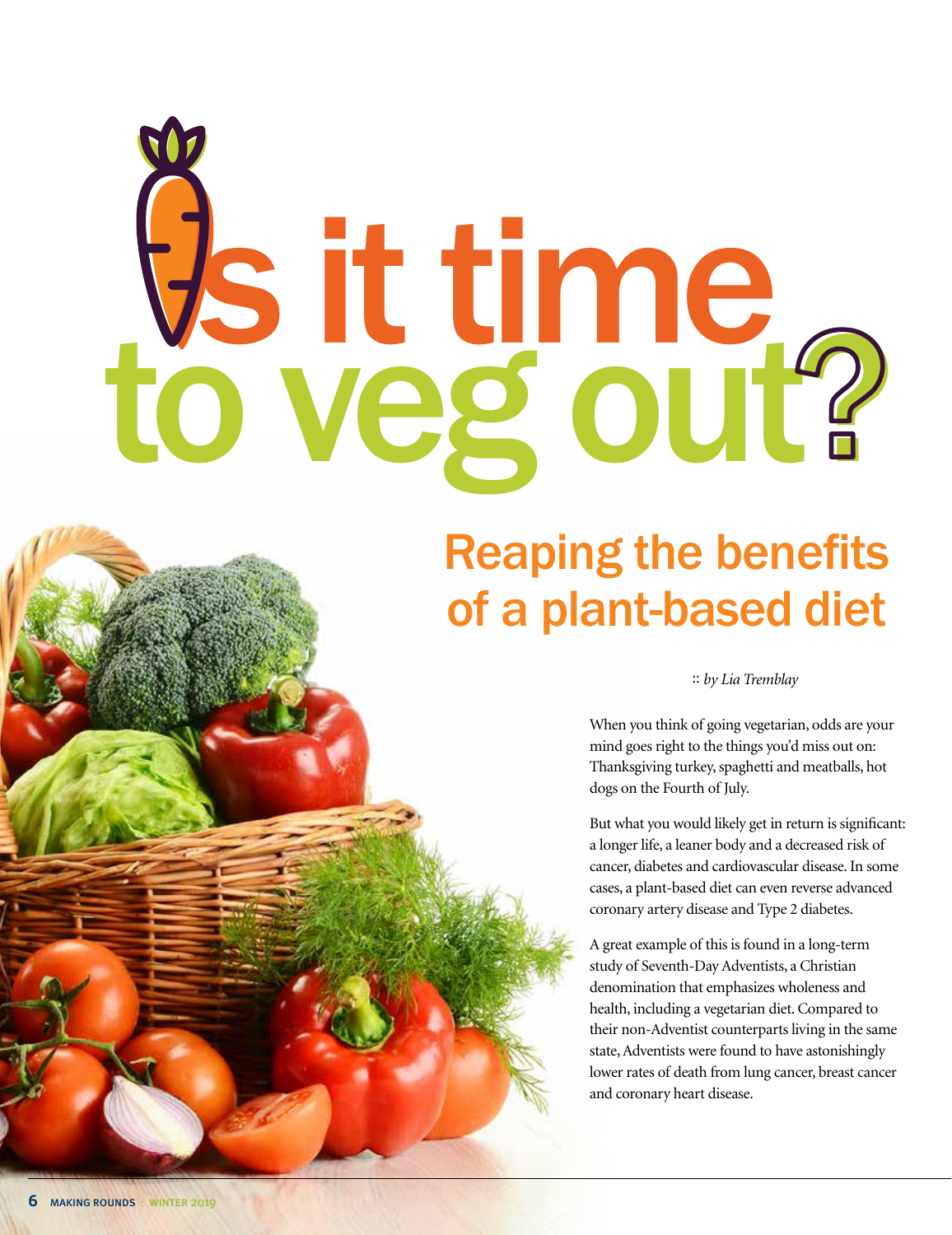# s it time to veg out?

## Reaping the benefits of a plant-based diet

#### :: *by Lia Tremblay*

When you think of going vegetarian, odds are your mind goes right to the things you'd miss out on: Thanksgiving turkey, spaghetti and meatballs, hot dogs on the Fourth of July.

But what you would likely get in return is significant: a longer life, a leaner body and a decreased risk of cancer, diabetes and cardiovascular disease. In some cases, a plant-based diet can even reverse advanced coronary artery disease and Type 2 diabetes.

A great example of this is found in a long-term study of Seventh-Day Adventists, a Christian denomination that emphasizes wholeness and health, including a vegetarian diet. Compared to their non-Adventist counterparts living in the same state, Adventists were found to have astonishingly lower rates of death from lung cancer, breast cancer and coronary heart disease.